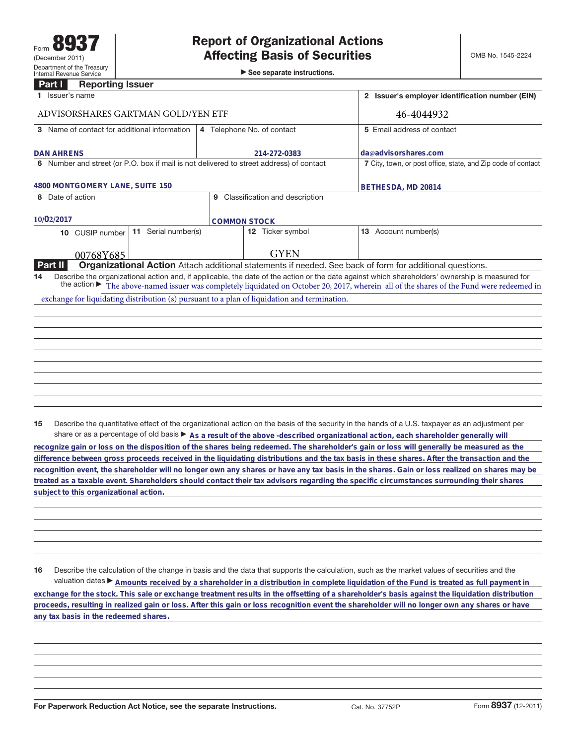►<br>► See separate instructions.

## **Part I Reporting Issuer**

| 1 Issuer's name                                                                              |                                                                                                                                                                                                                                                                                              |  |  |
|----------------------------------------------------------------------------------------------|----------------------------------------------------------------------------------------------------------------------------------------------------------------------------------------------------------------------------------------------------------------------------------------------|--|--|
| ADVISORSHARES GARTMAN GOLD/YEN ETF                                                           |                                                                                                                                                                                                                                                                                              |  |  |
|                                                                                              | 5 Email address of contact                                                                                                                                                                                                                                                                   |  |  |
| 214-272-0383                                                                                 | da@advisorshares.com<br>7 City, town, or post office, state, and Zip code of contact                                                                                                                                                                                                         |  |  |
| 6 Number and street (or P.O. box if mail is not delivered to street address) of contact      |                                                                                                                                                                                                                                                                                              |  |  |
| 4800 MONTGOMERY LANE, SUITE 150                                                              |                                                                                                                                                                                                                                                                                              |  |  |
| Classification and description<br>9                                                          |                                                                                                                                                                                                                                                                                              |  |  |
| <b>COMMON STOCK</b>                                                                          |                                                                                                                                                                                                                                                                                              |  |  |
| 12 Ticker symbol                                                                             | <b>13</b> Account number(s)                                                                                                                                                                                                                                                                  |  |  |
| <b>GYEN</b>                                                                                  |                                                                                                                                                                                                                                                                                              |  |  |
|                                                                                              | Organizational Action Attach additional statements if needed. See back of form for additional questions.                                                                                                                                                                                     |  |  |
|                                                                                              | Describe the organizational action and, if applicable, the date of the action or the date against which shareholders' ownership is measured for<br>the action ► The above-named issuer was completely liquidated on October 20, 2017, wherein all of the shares of the Fund were redeemed in |  |  |
| exchange for liquidating distribution (s) pursuant to a plan of liquidation and termination. |                                                                                                                                                                                                                                                                                              |  |  |
|                                                                                              |                                                                                                                                                                                                                                                                                              |  |  |
|                                                                                              |                                                                                                                                                                                                                                                                                              |  |  |
|                                                                                              |                                                                                                                                                                                                                                                                                              |  |  |
|                                                                                              |                                                                                                                                                                                                                                                                                              |  |  |
|                                                                                              |                                                                                                                                                                                                                                                                                              |  |  |
|                                                                                              |                                                                                                                                                                                                                                                                                              |  |  |
|                                                                                              | 4 Telephone No. of contact                                                                                                                                                                                                                                                                   |  |  |

**15** Describe the quantitative effect of the organizational action on the basis of the security in the hands of a U.S. taxpayer as an adjustment per share or as a percentage of old basis  $\blacktriangleright$  As a result of the above -described organizational action, each shareholder generally will

**recognize gain or loss on the disposition of the shares being redeemed. The shareholder's gain or loss will generally be measured as the difference between gross proceeds received in the liquidating distributions and the tax basis in these shares. After the transaction and the recognition event, the shareholder will no longer own any shares or have any tax basis in the shares. Gain or loss realized on shares may be treated as a taxable event. Shareholders should contact their tax advisors regarding the specific circumstances surrounding their shares subject to this organizational action.**

**16** Describe the calculation of the change in basis and the data that supports the calculation, such as the market values of securities and the valuation dates ▶ Amounts received by a shareholder in a distribution in complete liquidation of the Fund is treated as full payment in **exchange for the stock. This sale or exchange treatment results in the offsetting of a shareholder's basis against the liquidation distribution proceeds, resulting in realized gain or loss. After this gain or loss recognition event the shareholder will no longer own any shares or have any tax basis in the redeemed shares.**